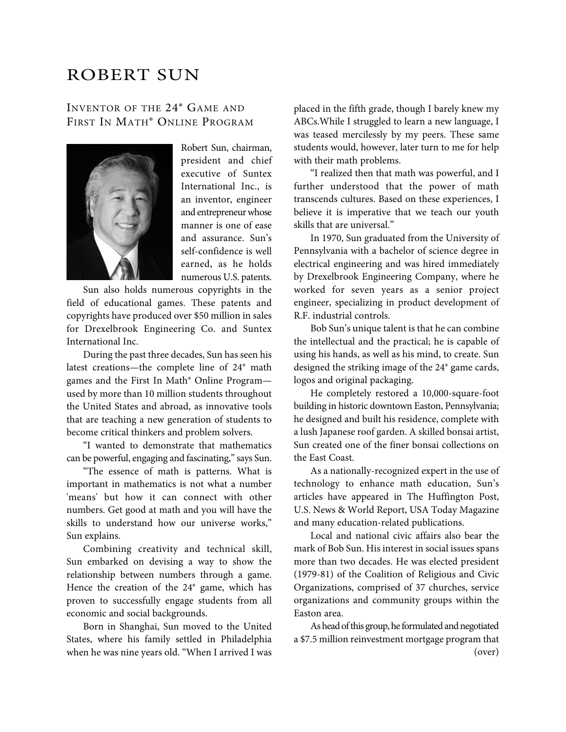## ROBERT SUN

## INVENTOR OF THE 24® GAME AND FIRST IN MATH® ONLINE PROGRAM



Robert Sun, chairman, president and chief executive of Suntex International Inc., is an inventor, engineer and entrepreneur whose manner is one of ease and assurance. Sun's self-confidence is well earned, as he holds numerous U.S. patents.

 Sun also holds numerous copyrights in the field of educational games. These patents and copyrights have produced over \$50 million in sales for Drexelbrook Engineering Co. and Suntex International Inc.

 During the past three decades, Sun has seen his latest creations—the complete line of 24® math games and the First In Math® Online Program used by more than 10 million students throughout the United States and abroad, as innovative tools that are teaching a new generation of students to become critical thinkers and problem solvers.

 "I wanted to demonstrate that mathematics can be powerful, engaging and fascinating," says Sun.

 "The essence of math is patterns. What is important in mathematics is not what a number 'means' but how it can connect with other numbers. Get good at math and you will have the skills to understand how our universe works," Sun explains.

 Combining creativity and technical skill, Sun embarked on devising a way to show the relationship between numbers through a game. Hence the creation of the 24® game, which has proven to successfully engage students from all economic and social backgrounds.

 Born in Shanghai, Sun moved to the United States, where his family settled in Philadelphia when he was nine years old. "When I arrived I was

placed in the fifth grade, though I barely knew my ABCs.While I struggled to learn a new language, I was teased mercilessly by my peers. These same students would, however, later turn to me for help with their math problems.

 "I realized then that math was powerful, and I further understood that the power of math transcends cultures. Based on these experiences, I believe it is imperative that we teach our youth skills that are universal."

 In 1970, Sun graduated from the University of Pennsylvania with a bachelor of science degree in electrical engineering and was hired immediately by Drexelbrook Engineering Company, where he worked for seven years as a senior project engineer, specializing in product development of R.F. industrial controls.

 Bob Sun's unique talent is that he can combine the intellectual and the practical; he is capable of using his hands, as well as his mind, to create. Sun designed the striking image of the 24® game cards, logos and original packaging.

 He completely restored a 10,000-square-foot building in historic downtown Easton, Pennsylvania; he designed and built his residence, complete with a lush Japanese roof garden. A skilled bonsai artist, Sun created one of the finer bonsai collections on the East Coast.

 As a nationally-recognized expert in the use of technology to enhance math education, Sun's articles have appeared in The Huffington Post, U.S. News & World Report, USA Today Magazine and many education-related publications.

 Local and national civic affairs also bear the mark of Bob Sun. His interest in social issues spans more than two decades. He was elected president (1979-81) of the Coalition of Religious and Civic Organizations, comprised of 37 churches, service organizations and community groups within the Easton area.

As head of this group, he formulated and negotiated a \$7.5 million reinvestment mortgage program that (over)